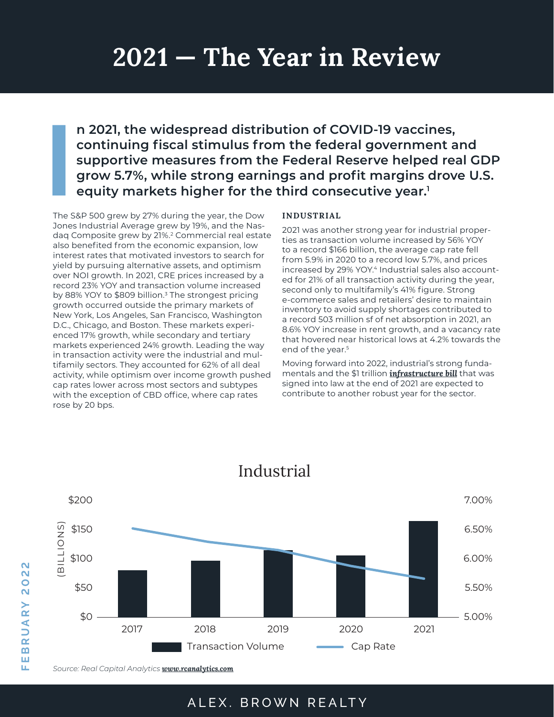# **2021 — The Year in Review**

**n 2021, the widespread distribution of COVID-19 vaccines, continuing fiscal stimulus from the federal government and supportive measures from the Federal Reserve helped real GDP grow 5.7%, while strong earnings and profit margins drove U.S. equity markets higher for the third consecutive year.1**

**I**<br> **I**<br> **I**<br> **I**<br> **I**<br> **I**<br> **I** The S&P 500 grew by 27% during the year, the Dow Jones Industrial Average grew by 19%, and the Nasdaq Composite grew by 21%.2 Commercial real estate also benefited from the economic expansion, low interest rates that motivated investors to search for yield by pursuing alternative assets, and optimism over NOI growth. In 2021, CRE prices increased by a record 23% YOY and transaction volume increased by 88% YOY to \$809 billion.<sup>3</sup> The strongest pricing growth occurred outside the primary markets of New York, Los Angeles, San Francisco, Washington D.C., Chicago, and Boston. These markets experienced 17% growth, while secondary and tertiary markets experienced 24% growth. Leading the way in transaction activity were the industrial and multifamily sectors. They accounted for 62% of all deal activity, while optimism over income growth pushed cap rates lower across most sectors and subtypes with the exception of CBD office, where cap rates rose by 20 bps.

#### **INDUSTRIAL**

2021 was another strong year for industrial properties as transaction volume increased by 56% YOY to a record \$166 billion, the average cap rate fell from 5.9% in 2020 to a record low 5.7%, and prices increased by 29% YOY.<sup>4</sup> Industrial sales also accounted for 21% of all transaction activity during the year, second only to multifamily's 41% figure. Strong e-commerce sales and retailers' desire to maintain inventory to avoid supply shortages contributed to a record 503 million sf of net absorption in 2021, an 8.6% YOY increase in rent growth, and a vacancy rate that hovered near historical lows at 4.2% towards the end of the year.<sup>5</sup>

Moving forward into 2022, industrial's strong fundamentals and the \$1 trillion *[infrastructure bill](https://www.abrealty.com/research/how-new-federal-infrastructure-investments-could-impact-industrial-real-estate/)* that was signed into law at the end of 2021 are expected to contribute to another robust year for the sector.



# Industrial

*Source: Real Capital Analytics [www.rcanalytics.com](https://www.rcanalytics.com)*

**FEBRUARY 2022**

RUARY

 $\mathbf{m}$ ш щ

 $\overline{\mathsf{N}}$  $\overline{\mathsf{N}}$  $\overset{..}{\bullet}$  $\overline{\mathbf{N}}$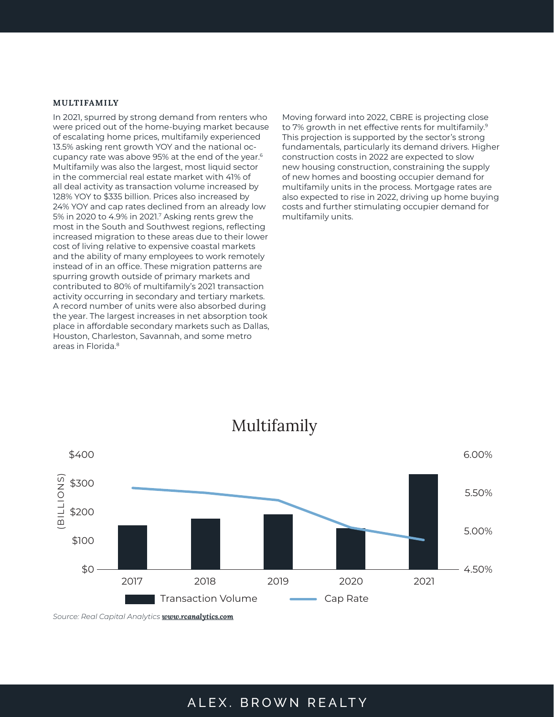#### **MULTIFAMILY**

In 2021, spurred by strong demand from renters who were priced out of the home-buying market because of escalating home prices, multifamily experienced 13.5% asking rent growth YOY and the national occupancy rate was above 95% at the end of the year.6 Multifamily was also the largest, most liquid sector in the commercial real estate market with 41% of all deal activity as transaction volume increased by 128% YOY to \$335 billion. Prices also increased by 24% YOY and cap rates declined from an already low 5% in 2020 to 4.9% in 2021.7 Asking rents grew the most in the South and Southwest regions, reflecting increased migration to these areas due to their lower cost of living relative to expensive coastal markets and the ability of many employees to work remotely instead of in an office. These migration patterns are spurring growth outside of primary markets and contributed to 80% of multifamily's 2021 transaction activity occurring in secondary and tertiary markets. A record number of units were also absorbed during the year. The largest increases in net absorption took place in affordable secondary markets such as Dallas, Houston, Charleston, Savannah, and some metro areas in Florida.8

Moving forward into 2022, CBRE is projecting close to 7% growth in net effective rents for multifamily.<sup>9</sup> This projection is supported by the sector's strong fundamentals, particularly its demand drivers. Higher construction costs in 2022 are expected to slow new housing construction, constraining the supply of new homes and boosting occupier demand for multifamily units in the process. Mortgage rates are also expected to rise in 2022, driving up home buying costs and further stimulating occupier demand for multifamily units.



# Multifamily

*Source: Real Capital Analytics [www.rcanalytics.com](https://www.rcanalytics.com)*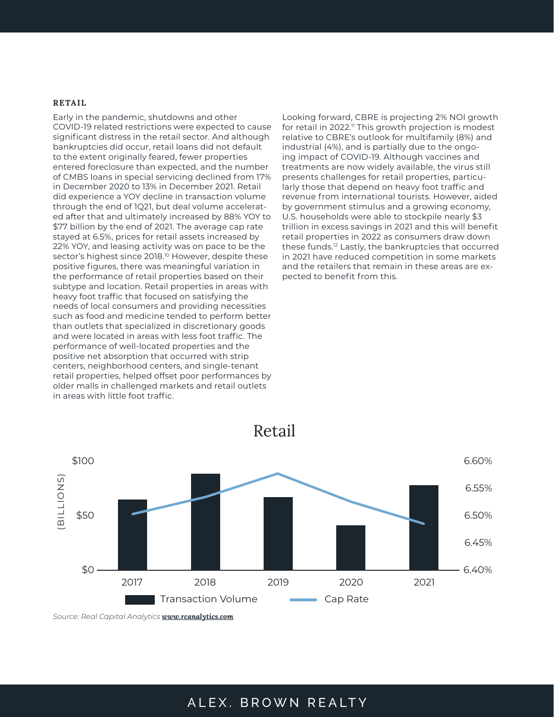#### **RETAIL**

Early in the pandemic, shutdowns and other COVID-19 related restrictions were expected to cause significant distress in the retail sector. And although bankruptcies did occur, retail loans did not default to the extent originally feared, fewer properties entered foreclosure than expected, and the number of CMBS loans in special servicing declined from 17% in December 2020 to 13% in December 2021. Retail did experience a YOY decline in transaction volume through the end of 1Q21, but deal volume accelerated after that and ultimately increased by 88% YOY to \$77 billion by the end of 2021. The average cap rate stayed at 6.5%, prices for retail assets increased by 22% YOY, and leasing activity was on pace to be the sector's highest since 2018.<sup>10</sup> However, despite these positive figures, there was meaningful variation in the performance of retail properties based on their subtype and location. Retail properties in areas with heavy foot traffic that focused on satisfying the needs of local consumers and providing necessities such as food and medicine tended to perform better than outlets that specialized in discretionary goods and were located in areas with less foot traffic. The performance of well-located properties and the positive net absorption that occurred with strip centers, neighborhood centers, and single-tenant retail properties, helped offset poor performances by older malls in challenged markets and retail outlets in areas with little foot traffic.

Looking forward, CBRE is projecting 2% NOI growth for retail in 2022.<sup>11</sup> This growth projection is modest relative to CBRE's outlook for multifamily (8%) and industrial (4%), and is partially due to the ongoing impact of COVID-19. Although vaccines and treatments are now widely available, the virus still presents challenges for retail properties, particularly those that depend on heavy foot traffic and revenue from international tourists. However, aided by government stimulus and a growing economy, U.S. households were able to stockpile nearly \$3 trillion in excess savings in 2021 and this will benefit retail properties in 2022 as consumers draw down these funds.12 Lastly, the bankruptcies that occurred in 2021 have reduced competition in some markets and the retailers that remain in these areas are expected to benefit from this.



Retail

*Source: Real Capital Analytics [www.rcanalytics.com](https://www.rcanalytics.com)*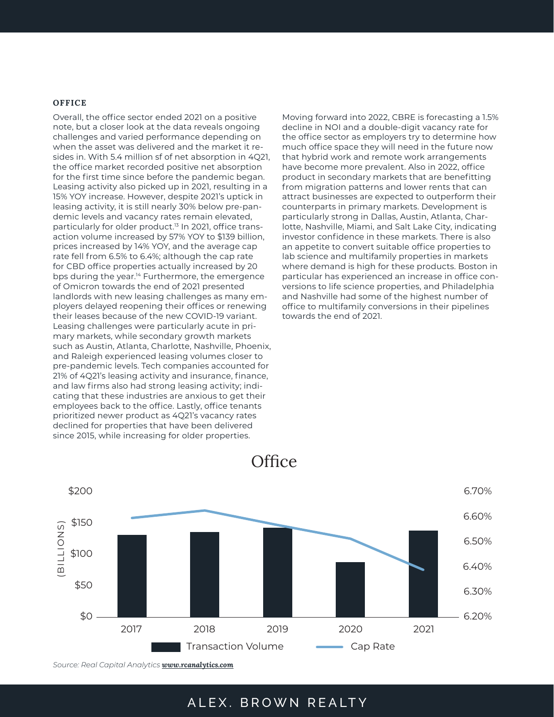#### **OFFICE**

Overall, the office sector ended 2021 on a positive note, but a closer look at the data reveals ongoing challenges and varied performance depending on when the asset was delivered and the market it resides in. With 5.4 million sf of net absorption in 4Q21, the office market recorded positive net absorption for the first time since before the pandemic began. Leasing activity also picked up in 2021, resulting in a 15% YOY increase. However, despite 2021's uptick in leasing activity, it is still nearly 30% below pre-pandemic levels and vacancy rates remain elevated, particularly for older product.<sup>13</sup> In 2021, office transaction volume increased by 57% YOY to \$139 billion, prices increased by 14% YOY, and the average cap rate fell from 6.5% to 6.4%; although the cap rate for CBD office properties actually increased by 20 bps during the year.<sup>14</sup> Furthermore, the emergence of Omicron towards the end of 2021 presented landlords with new leasing challenges as many employers delayed reopening their offices or renewing their leases because of the new COVID-19 variant. Leasing challenges were particularly acute in primary markets, while secondary growth markets such as Austin, Atlanta, Charlotte, Nashville, Phoenix, and Raleigh experienced leasing volumes closer to pre-pandemic levels. Tech companies accounted for 21% of 4Q21's leasing activity and insurance, finance, and law firms also had strong leasing activity; indicating that these industries are anxious to get their employees back to the office. Lastly, office tenants prioritized newer product as 4Q21's vacancy rates declined for properties that have been delivered since 2015, while increasing for older properties.

Moving forward into 2022, CBRE is forecasting a 1.5% decline in NOI and a double-digit vacancy rate for the office sector as employers try to determine how much office space they will need in the future now that hybrid work and remote work arrangements have become more prevalent. Also in 2022, office product in secondary markets that are benefitting from migration patterns and lower rents that can attract businesses are expected to outperform their counterparts in primary markets. Development is particularly strong in Dallas, Austin, Atlanta, Charlotte, Nashville, Miami, and Salt Lake City, indicating investor confidence in these markets. There is also an appetite to convert suitable office properties to lab science and multifamily properties in markets where demand is high for these products. Boston in particular has experienced an increase in office conversions to life science properties, and Philadelphia and Nashville had some of the highest number of office to multifamily conversions in their pipelines towards the end of 2021.



**Office** 

*Source: Real Capital Analytics [www.rcanalytics.com](https://www.rcanalytics.com)*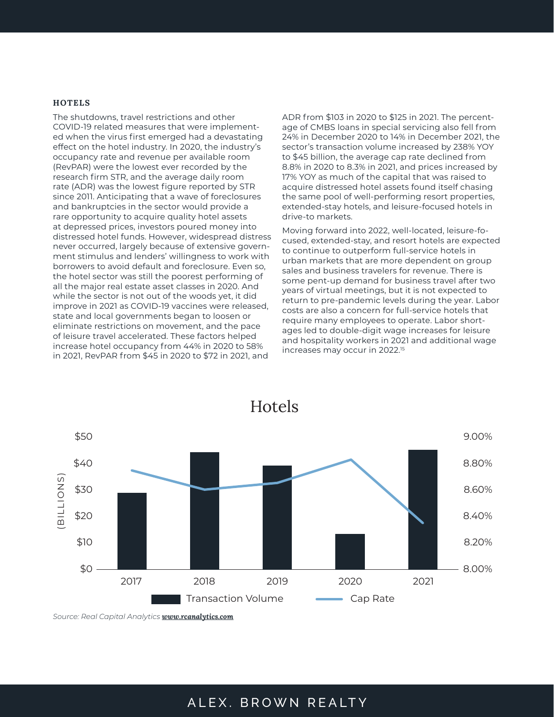#### **HOTELS**

The shutdowns, travel restrictions and other COVID-19 related measures that were implemented when the virus first emerged had a devastating effect on the hotel industry. In 2020, the industry's occupancy rate and revenue per available room (RevPAR) were the lowest ever recorded by the research firm STR, and the average daily room rate (ADR) was the lowest figure reported by STR since 2011. Anticipating that a wave of foreclosures and bankruptcies in the sector would provide a rare opportunity to acquire quality hotel assets at depressed prices, investors poured money into distressed hotel funds. However, widespread distress never occurred, largely because of extensive government stimulus and lenders' willingness to work with borrowers to avoid default and foreclosure. Even so, the hotel sector was still the poorest performing of all the major real estate asset classes in 2020. And while the sector is not out of the woods yet, it did improve in 2021 as COVID-19 vaccines were released, state and local governments began to loosen or eliminate restrictions on movement, and the pace of leisure travel accelerated. These factors helped increase hotel occupancy from 44% in 2020 to 58% in 2021, RevPAR from \$45 in 2020 to \$72 in 2021, and

ADR from \$103 in 2020 to \$125 in 2021. The percentage of CMBS loans in special servicing also fell from 24% in December 2020 to 14% in December 2021, the sector's transaction volume increased by 238% YOY to \$45 billion, the average cap rate declined from 8.8% in 2020 to 8.3% in 2021, and prices increased by 17% YOY as much of the capital that was raised to acquire distressed hotel assets found itself chasing the same pool of well-performing resort properties, extended-stay hotels, and leisure-focused hotels in drive-to markets.

Moving forward into 2022, well-located, leisure-focused, extended-stay, and resort hotels are expected to continue to outperform full-service hotels in urban markets that are more dependent on group sales and business travelers for revenue. There is some pent-up demand for business travel after two years of virtual meetings, but it is not expected to return to pre-pandemic levels during the year. Labor costs are also a concern for full-service hotels that require many employees to operate. Labor shortages led to double-digit wage increases for leisure and hospitality workers in 2021 and additional wage increases may occur in 2022.15



*Source: Real Capital Analytics [www.rcanalytics.com](https://www.rcanalytics.com)*